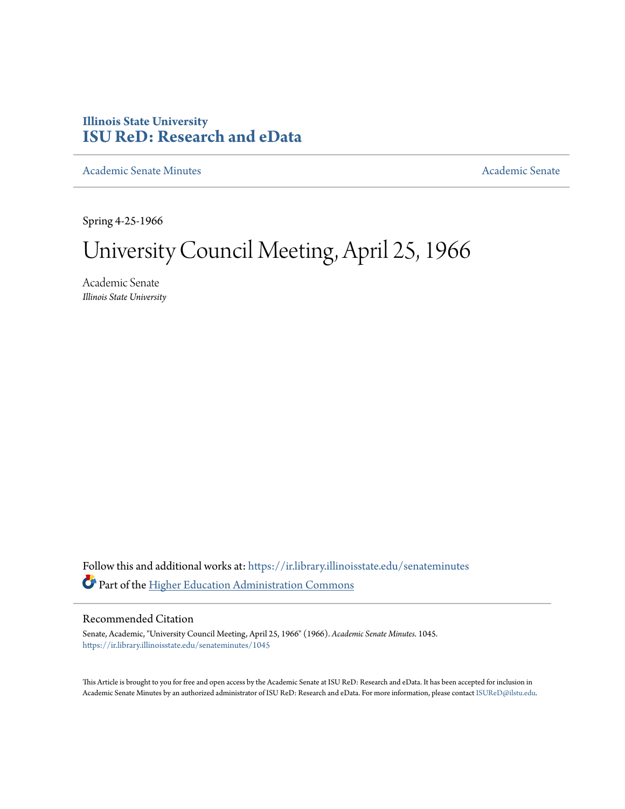# **Illinois State University [ISU ReD: Research and eData](https://ir.library.illinoisstate.edu?utm_source=ir.library.illinoisstate.edu%2Fsenateminutes%2F1045&utm_medium=PDF&utm_campaign=PDFCoverPages)**

[Academic Senate Minutes](https://ir.library.illinoisstate.edu/senateminutes?utm_source=ir.library.illinoisstate.edu%2Fsenateminutes%2F1045&utm_medium=PDF&utm_campaign=PDFCoverPages) [Academic Senate](https://ir.library.illinoisstate.edu/senate?utm_source=ir.library.illinoisstate.edu%2Fsenateminutes%2F1045&utm_medium=PDF&utm_campaign=PDFCoverPages) Academic Senate

Spring 4-25-1966

# University Council Meeting, April 25, 1966

Academic Senate *Illinois State University*

Follow this and additional works at: [https://ir.library.illinoisstate.edu/senateminutes](https://ir.library.illinoisstate.edu/senateminutes?utm_source=ir.library.illinoisstate.edu%2Fsenateminutes%2F1045&utm_medium=PDF&utm_campaign=PDFCoverPages) Part of the [Higher Education Administration Commons](http://network.bepress.com/hgg/discipline/791?utm_source=ir.library.illinoisstate.edu%2Fsenateminutes%2F1045&utm_medium=PDF&utm_campaign=PDFCoverPages)

# Recommended Citation

Senate, Academic, "University Council Meeting, April 25, 1966" (1966). *Academic Senate Minutes*. 1045. [https://ir.library.illinoisstate.edu/senateminutes/1045](https://ir.library.illinoisstate.edu/senateminutes/1045?utm_source=ir.library.illinoisstate.edu%2Fsenateminutes%2F1045&utm_medium=PDF&utm_campaign=PDFCoverPages)

This Article is brought to you for free and open access by the Academic Senate at ISU ReD: Research and eData. It has been accepted for inclusion in Academic Senate Minutes by an authorized administrator of ISU ReD: Research and eData. For more information, please contact [ISUReD@ilstu.edu.](mailto:ISUReD@ilstu.edu)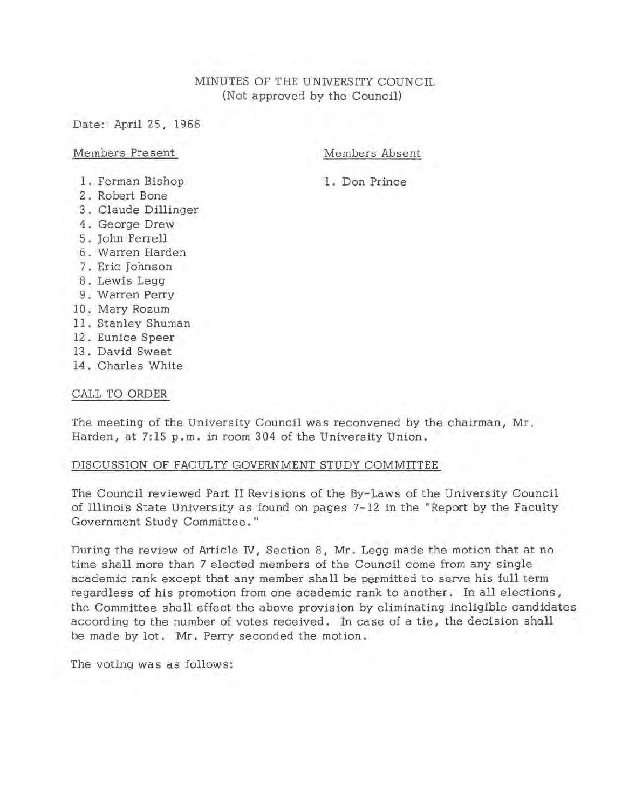# MINUTES OF THE UNIVERSITY COUNCIL (Not approved by the Council)

Date: April 25, 1966

# Members Pre sent

Members Absent

1. Don Prince

- 1 . Ferman Bishop
- 2 . Robert Bone
- 3. Claude Dillinger
- 4. George Drew
- 5 . John Ferrell
- 6. Warren Harden
- 7. Eric Johnson
- 8 . Lewis Legg
	- 9. Warren Perry
- 10 . Mary Rozum
- 11 . Stanley Shuman
- 12 . Eunice Speer
- 13 . David Sweet
- 14. Charles White

# CALL TO ORDER

The meeting of the University Council was reconvened by the chairman, Mr. Harden, at 7:15 p.m. in room 304 of the University Union.

# DISCUSSION OF FACULTY GOVERNMENT STUDY COMMITTEE

The Council reviewed Part II Revisions of the By-Laws of the University Council of Illinois State University as found on pages 7-12 in the "Report by the Faculty Government Study Committee. "

During the review of Article IV, Section 8, Mr. Legg made the motion that at no time shall more than 7 elected members of the Council come from any single academic rank except that any member shall be permitted to serve his full term regardless of his promotion from one academic rank to another. In all elections, the Committee shall effect the above provision by eliminating ineligible candidates according to the number of votes received. In case of a tie, the decision shall be made by lot. Mr. Perry seconded the motion.

The voting was as follows: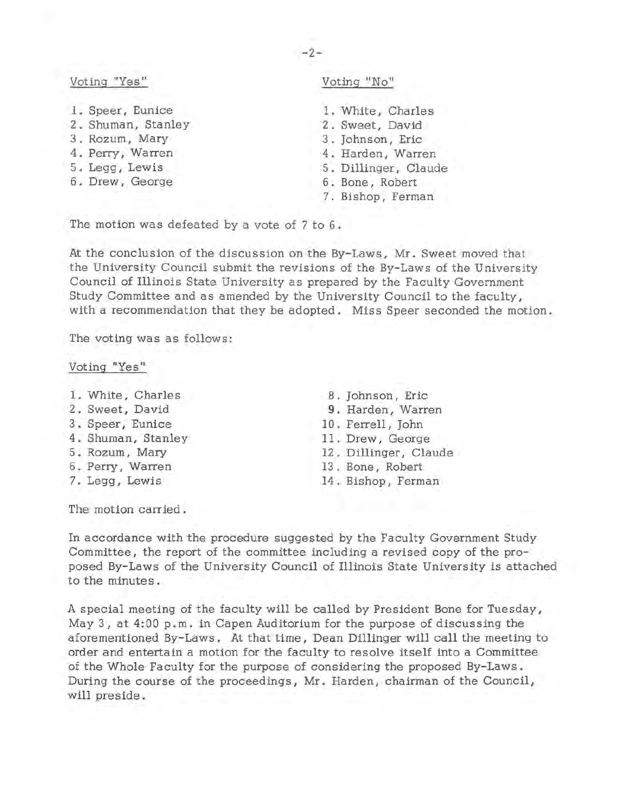# Voting "Yes"

- 1. Speer, Eunice
- 2 . Shuman, Stanley
- 3. Rozum, Mary
- 4 . Perry, Warren
- 5 . Legg, Lewis
- 6. Drew, George

# Voting "No"

1 . White, Charles 2 . Sweet, David 3. Johnson, Eric 4. Harden, Warren 5. Dillinger, Claude 6 . Bone , Robert 7. Bishop, Ferman

The motion was defeated by a vote of 7 to 6.

At the conclusion of the discussion on the By-Laws, Mr. Sweet moved that the University Council submit the revisions of the By-Laws of the University Council of Illinois State University as prepared by the Faculty Government Study Committee and as amended by the University Council to the faculty, with a recommendation that they be adopted. Miss Speer seconded the motion.

The voting was as follows:

#### Voting "Yes"

- 1. White, Charles
- 2 . Sweet, David
- 3. Speer, Eunice
- 4 . Shuman, Stanley
- 5 . Rozum, Mary
- 6 . Perry, Warren
- 7. Legg, Lewis

8. Johnson, Eric 9. Harden, Warren 10. Ferrell, John 11 . Drew, George 12. Dillinger, Claude 13 . Bone, Robert

14 . Bishop, Ferman

The motion carried .

In accordance with the procedure suggested by the Faculty Government Study Committee, the report of the committee including a revised copy of the proposed By-Laws of the University Council of Illinois State University is attached to the minutes.

A special meeting of the faculty will be called by President Bone for Tuesday, May  $3$ , at  $4:00$  p.m. in Capen Auditorium for the purpose of discussing the aforementioned By-Laws . At that time, Dean Dillinger will call the meeting to order and entertain a motion for the faculty to resolve itself into a Committee of the Whole Faculty for the purpose of considering the proposed By-Laws. During the course of the proceedings, Mr. Harden, chairman of the Council, will preside.

# -2-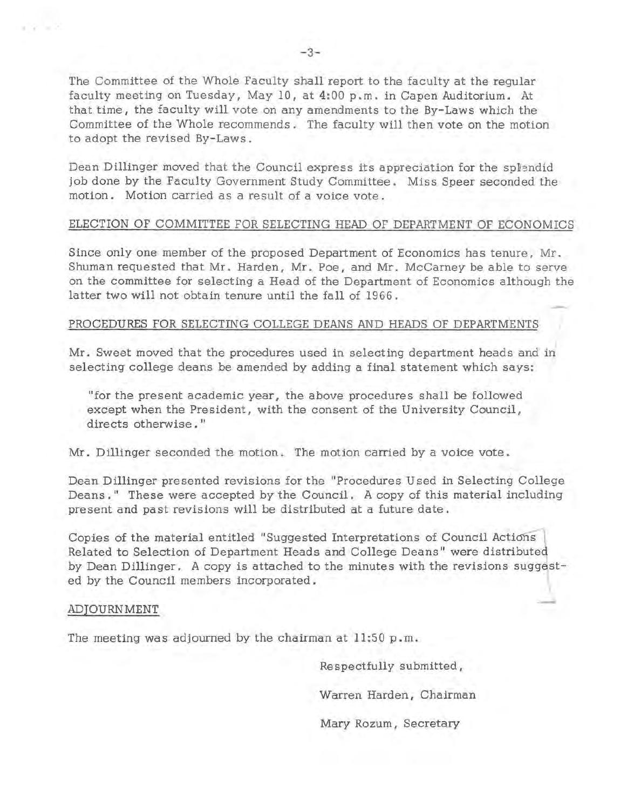The Committee of the Whole Faculty shall report to the faculty at the regular faculty meeting on Tuesday, May 10, at 4:00 p.m. in Capen Auditorium. At that time, the faculty will vote on any amendments to the By-Laws which the Committee of the Whole recommends. The faculty will then vote on the motion to adopt the revised By-Laws.

Dean Dillinger moved that the Council express its appreciation for the splendid job done by the Faculty Government Study Committee. Miss Speer seconded the motion. Motion carried as a result of a voice vote.

# ELECTION OF COMMITTEE FOR SELECTING HEAD OF DEPARTMENT OF ECONOMICS

Since only one member of the proposed Department of Economics has tenure, Mr. Shuman requested that Mr. Harden, Mr. Poe, and Mr. McCamey be able to serve on the committee for selecting a Head of the Department of Economics although the latter two will not obtain tenure until the fall of 1966.

# PROCEDURES FOR SELECTING COLLEGE DEANS AND HEADS OF DEPARTMENTS

Mr. Sweet moved that the procedures used in selecting department heads and in selecting college deans be amended by adding a final statement which says:

"for the present academic year, the above procedures shall be followed except when the President, with the consent of the University Council, directs otherwise."

 $Mr$ . Dillinger seconded the motion. The motion carried by a voice vote.

Dean Dillinger presented revisions for the "Procedures Used in Selecting College Deans." These were accepted by the Council. A copy of this material including present and past revisions will be distributed at a future date.

Copies of the material entitled "Suggested Interpretations of Council Actions Related to Selection of Department Heads and College Deans" were distributed by Dean Dillinger. A copy is attached to the minutes with the revisions suggested by the Council members incorporated.

# ADJOURNMENT

. .

The meeting was adjourned by the chairman at 11:50 p.m.

Respectfully submitted, Warren Harden, Chairman Mary Rozum, Secretary